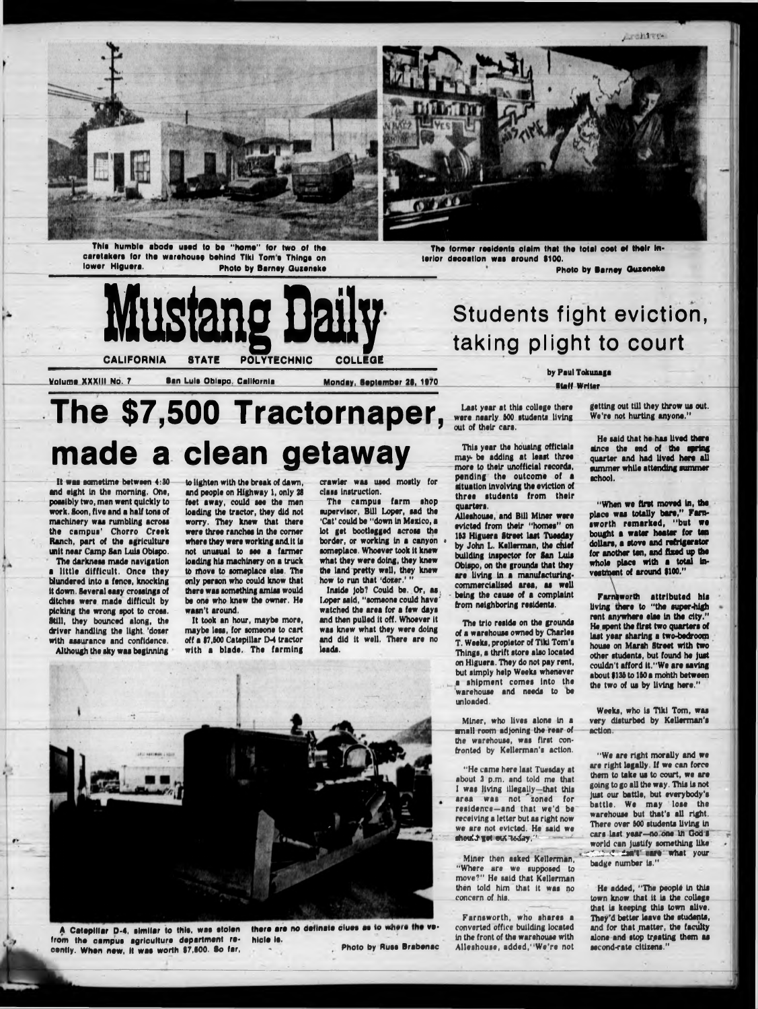

This humble abode used to be "home" for two of the caretakers for the warehouse behind Tiki Tom's Things on lower Higuera. **Photo by Barney Guzenske** 



The former residents claim that the total cost of their interior decoation was around \$100.

Photo by Barney Quzeneke



Students fight eviction, taking plight to court

by Paul Tokunaga

**Staff Writer** 

#### Volume XXXIII No. 7

San Luis Oblapo, California

Monday, September 28, 1970

Last year at this college there were nearly 500 students living out of their cars.

This year the housing officials may be adding at least three more to their unofficial records. pending the outcome of a situation involving the eviction of three students from their quarters.

Alleshouse, and Bill Miner were evicted from their "homes" on 153 Higuera Street last Tuesday by John L. Kellerman, the chief building inspector for San Luis Obispo, on the grounds that they are living in a manufacturingcommercialized area, as well being the cause of a complaint from neighboring residents.

The trio reside on the grounds of a warehouse owned by Charles T. Weeks, propietor of Tiki Tom's Things, a thrift store also located on Higuera. They do not pay rent, but simply help Weeks whenever a shipment comes into the warehouse and needs to be unloaded.

Miner, who lives alone in a small room adjoning the rear of the warehouse, was first confronted by Kellerman's action.

"He came here last Tuesday at out 3 p.m. and told me

getting out till they throw us out. We're not hurting anyone."

He said that he has lived there since the end of the spring quarter and had lived here all summer while attending summer achool.

"When we first moved in, the place was totally bare," Farnsworth remarked, "but we bought a water heater for ten dollars, a stove and refrigerator for another ten, and fixed up the whole place with a total investment of around \$100."

Farniworth attributed his living there to "the super-high rent anywhere else in the city." He spent the first two quarters of last year sharing a two-bedroom house on Marsh Street with two other students, but found he just couldn't afford it."We are saving about \$135 to 150 a month between the two of us by living here."

Weeks, who is Tiki Tom, was very disturbed by Kellerman's action.

"We are right morally and we are right legally. If we can force them to take us to court, we are

The \$7,500 Tractornaper, made a clean getaway

It was sometime between 4:30 and eight in the morning. One, possibly two, men went quickly to work. Soon, five and a half tons of machinery was rumbling across the campus' Chorro Creek Ranch, part of the agriculture unit near Camp San Luis Obispo.

The darkness made navigation a little difficult. Once they blundered into a fence, knocking it down. Several easy crossings of ditches were made difficult by picking the wrong spot to cross. Still, they bounced along, the driver handling the light 'dozer with assurance and confidence.

Although the sky was beginning

to lighten with the break of dawn, and people on Highway 1, only 28 feet away, could see the men loading the tractor, they did not worry. They knew that there were three ranches in the corner where they were working and it is not unusual to see a farmer loading his machinery on a truck to move to someplace else. The only person who could know that there was something amiss would be one who knew the owner. He wasn't around.

It took an hour, maybe more, maybe less, for someone to cart off a \$7,500 Catepillar D-4 tractor with a blade. The farming crawler was used mostly for class instruction.

The campus farm shop supervisor, Bill Loper, sad the 'Cat' could be "down in Mexico, a lot get bootlegged across the border, or working in a canyon someplace. Whoever took it knew what they were doing, they knew the land pretty well, they knew how to run that 'dozer.' "

Inside job? Could be. Or, as Loper said, "someone could have" watched the area for a few days and then pulled it off. Whoever it was knew what they were doing and did it well. There are no leads.

A Catepillar D-4, similar to this, was stolen from the campus agriculture department rehicle is. cently. When new, it was worth \$7,500. So far,

there are no definate clues as to where the ve-Photo by Russ Brabenac I was living illegally-that this area was not zoned for residence-and that we'd be receiving a letter but as right now we are not evicted. He said we should get entireday."

Miner then asked Kellerman. "Where are we supposed to move?" He said that Kellerman then told him that it was no concern of his.

Farnsworth, who shares a converted office building located in the front of the warehouse with Alleshouse, added, "We're not going to go all the way. This is not just our battle, but everybody's battle. We may lose the warehouse but that's all right. There over 500 students living in cars last year-no one in God's world can justify something like **Section's unrel what your** badge number is."

He added, "The people in this town know that it is the college that is keeping this town alive. They'd better leave the students, and for that matter, the faculty alone and stop treating them as second-rate citizens."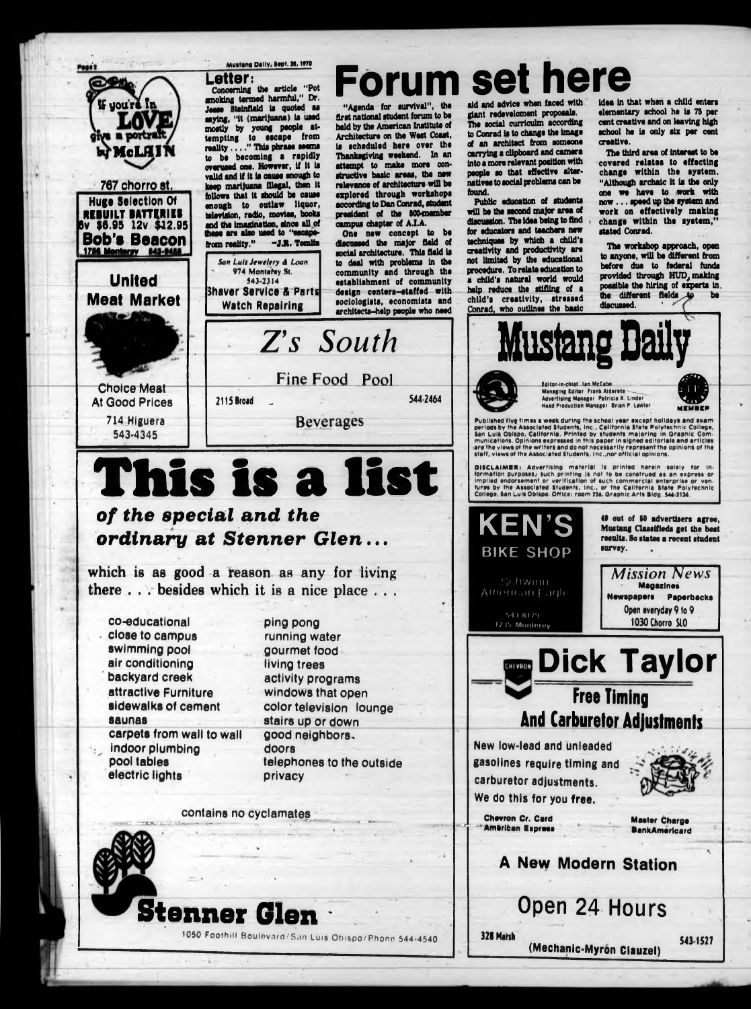

**contains no cyclamates \*" 1—■**

**1050 Foothill Boulevard/San LUis Obispo/Phono 544-4540**

**Master Charge B ankAm erlcard**

## **A New Modern Station**

### **carburetor adjustments. We do this for you free.**

**Chevron Cr. Card ' Am erican E sprees**

**Open 24 Hours**

328 **Marsh**



**(Mechanic-Myron Clauzel)**

543 1527

# **Stenner**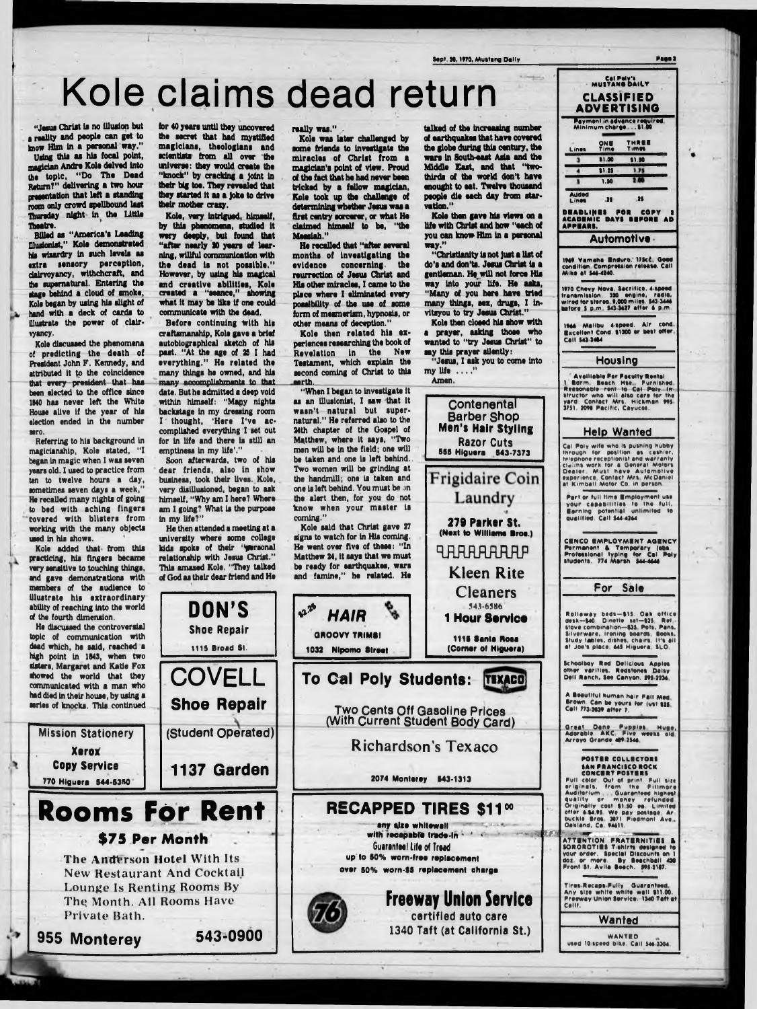**Sept. il,** 1**\***70**, Mustang Daily Page)**

# **Kole claims dead return**

"Jesus Christ is no illusion but a reality and people can get to know Him In a peraonal way."

Using this as his focal point, magician Andre Kole delved into the topic, "Do The Dead Raturn?" delivering a two hour presentation that left a standing room only crowd spellbound last Thursday night in the Little Theatre.

Billed as "America's Leading Illusionist," Kola demonstrated hla wizardry In such levels as extra sensory perception, dalrvoyancy, withchcraft, and the supernatural. Entering the stage behind a cloud of smoke, Kole began by using his slight of hand with a deck of cards to Illustrate the power of clairvyancy.

Referring to his background in magicianship, Kole stated, "I began in magic when I was seven years old. I used to practice from ten to twelve hours a day, sometimes seven days a week," He recalled many nights of going to bed with aching fingers covered with blisters from working with the many objects used In his shows.

Kole discussed the phenomena of predicting the death of President John F. Kennedy, and attributed it to the coincidence that every president that has been elected to the office since 1840 has never left the White House alive If the year of hla election ended in the number aero.

# **770 H lguera 544-53\*0 Rooms For Rent**

Kole added that from this practicing, his fingers became very sensitive to touching things, and gave demonstrations with members of the audience to Illustrate hla extraordinary ability of reaching into the world of the fourth dimension.

Before continuing with his craftsmanship, Kole gave a brief autobiographical sketch of his past. "At the age of 25 I had everything." He related the many things he owned, and his many accomplishments to that date. But he admitted a deep void within himself: "Mapy nights backstage in my dressing room I thought, 'Here I've accomplished everything I set out for in life and there is still an emptiness in my life'."

He discussed the controversial topic of communication with dead which, he said, reached a high point in 1843, when two dsters, Margaret and Katie Fox showed the world that they communicated with a man who had died In their house, by using a series of knocks. This continued

> **The Anderson Hotel With Its New Restaurant And Cocktail Lounge Is Renting Rooms By The Month. All Rooms Have Private Bath.**

**Mission Stationery**

**Xerox Copy Service**

for 40 years until they uncovered the secret that had mystified magicians, theologians and scientists from all over the universe: they would create the "knock" by cracking a Joint in their big toe. They revealed that they started It as a Joke to drive their mother craxy.

Kole, very Intrigued, himself, by this phenomena, studied it wery deeply, but found that "after nearly SO years of learning, willful communication with the dead is not possible." However, by using his magical and creative abilities, Kole created a "seance," showing what It may be like If one could communicate with the dead.

talked of the increasing number of earthquakes that have covered the globe during thla century, the wars In South-east Asia and the Middle East, and that "twothirds of the world don't have enought to eat. Twelve thouaand people die each day from starvation.''

Kole then gave his views on a Ufa with Christ and how "each of you can know Him In a personal way."

Soon afterwards, two of his dear friends, also in show business, took their lives. Kole, very disillusioned, began to ask himself, "Why am I here? Where am I going? What is the purpose In my life?"

He then attended a meeting at a university where some college kids spoke of their 'wersonal relationship with Jesus Christ." This amazed Kole. "They talked of God as their dear friend and He

DON'S

**Shoe Repair**

**t115 Broad St.** 

**COVELL**

**Shoe Repair**

**(Student Operated)**

**1137 Garden** 

really was."

### **\$75 Per Month**

**955 M onterey 543-0900**

**2074 Monterey 543-1313** 

Kole was later challenged by some friends to investigate the miracles of Christ from a magician's point of view. Proud of the fact that he had never been tricked by a fallow magician, Kole took up the challenge of determining whether Jesus was a first centry sorcerer, or what He claimed himself to be, "the Messiah."

He recalled that "after several months of Investigating the evidence concerning, the reurrection of Jesus Christ and Hla other miracles, I came to the place where I eliminated every possibility of the use of some form of mesmerism, hypnosis, or other means of deception."

Kole then related his experiences researching the book of Revelation In the New Testament, which explain the second coming of Christ to this earth.

"When I began to investigate it as an illusionist, I saw that It wasn't natural but supernatural." He referred also to the 24th chapter of the Gospel of Matthew, where It says, "Two men will be in the field; one will be taken and one Is left behind. Two women will be grinding at the handmill; one is taken and one is left behind. You must be on the alert then, for you do not know when your master is coming."

Kole said that Christ gave 27 signs to watch for in His coming. He went over five of these: "In Matthew 24, It says that we must be ready for earthquakes, wars and famine," he related. He

"Christianity Is not Just a list of do's and don'ta. Jesus Christ Is a gentleman. He will not force His way Into your life. He asks, "Many of you here have tried many things, sex, drugs, I In\* vltsyou to try Jesus Christ."

Kole then cloeed his show with a prayer, asking those who wanted to "try Jesus Christ" to say this prayer silently:

"Jesus, I ask you to come Into my life . . . . ''



*\*\* HAIR '*

**GROOVY TRIMS! 1032 Nipomo Street** 



#### Cal Poly's<br>MUSTANG DAILY **C L A S S IF IE D A D V E R T IS IN G P aym en t In ad vance requ ired M in im u m c h a re \* ..1 1 0 0** O N I **T im e T H R U T im \*» Lines**  $\overline{1}$ II 00 S1.S0  $\cdot$ **SI.25**  $1.75$  $2.00$  $\mathbf{I}$  $\overline{1.90}$ **Added**<br>Lines 25 25 D**eadlines for copy :<br>Academic bays before ad A P P B A B I. A utom otive IM S Y a m a h a Bnduro. ll» c < Good condition. Compression r tlta s a . C all M ik a at 544-4140.** 1970 Chevy Nova. Sacrifice. 4-speed **transm ission. ISO engine, radio, w ired tor stereo \*.000 m il\*s . S4S-S44S feators S p m S43 M37 atta r S p m . IM A M a lib u 4-speed. A ir cond e x c e lle n t Cond. I1J00 or bast offer C all S4314I4 Housing Availiable Per Paculty Rental 1 Bdrm, Beach Mse,, Furnished,<br><b>Reasonable rent to Cat Paty in:**<br>Structor who will also care for the<br>yard . Contact Mrs. Hickman 995<br>3751 2098 Pacific, Cayucos. **Help Wanted** Cal Poly wife who is pushing hubby **through tor position as cashiar, telephone racaptionist and w a rra n ty eta.m s w ork tor • O anaral Motors Dealer.** Must have Automotive experience, Contact <del>M</del>rs, McDanie<br>at Kimball Motor Co. in person **Part or full time Employment use** your capabilities to the full. **Earning potential unlimited to q u a lifie d . C all S44 42\*4 CENCO EMPLOYMENT AGENCY Permanent & Temporary Jobs.<br>Professional typing for Cal Poly**<br>students. 774 Marsh 544-4646 **For Sale Rollaway beds-815. Oak office desk—140 D m atta sat—S2S. Rat stove com bination—U S Pots. Pans. S ilv erw are. Ironing boards Books. Study tables, dishes, chairs It's ail** at Joe's place, 645 Higuera, SLO. **Schoolboy Rad D elicious A pply\* other v e ritie s . Radstonas Daisy D ali R anch, Saa Canyon. StS 22)4 A Beautiful human hair Pall Med. Brown. Can be yours for lust I2S C all 773 2S2\* a tta r 7. i** Great Dane Puppies Huge<br>Adorable. AKC. Five weeks old<br>Arroyo Grande 40° 2544 POSTER COLLECTORS

**Richardson's Texaco**

### **RECAPPED TIRES \$11<sup>00</sup>**

SPECIAL AND any size whitewail **with recepabre trad e-in \* 4 \* \* Guarantee! Life of Treed** up to 50% worn-free replacement over 50% worn-\$5 replacement charge

> Freeway Union Service **certified auto care 1340 Taft (at California St.)**

*I?..:: ■ ■* **- r - A T T E N T IO N P R A T I R N I T I B I A S O R O R O T III T sh irts daslenad to your o rd a r. Special D iscount\* on I do t. or m ors. By B aachball 4)0** SAN FRANCISCO ROCK<br>CONCERT POSTERS Full color, Out of print. Full size<br>ariginals, from the Fillmore<br>Auditorium - Guaranteed highes<br>quality or money refunded<br>Originally cost \$1.50 ea. Limited<br>offer 6.54.95 We pay postage, Ar<br>buckle \$ros, 3071 Piedmont Ave.,<br> **P ro n t St. A v ila B each. SM-1117.** Tires Recaps Fully - Guaranteed.<br>Any size white white wall \$11.00.<br>Preeway Union Service. 1340 Taft at **C a lif.**

**W anted**

**WANTED** used 10 speed bike. Call 546 3304